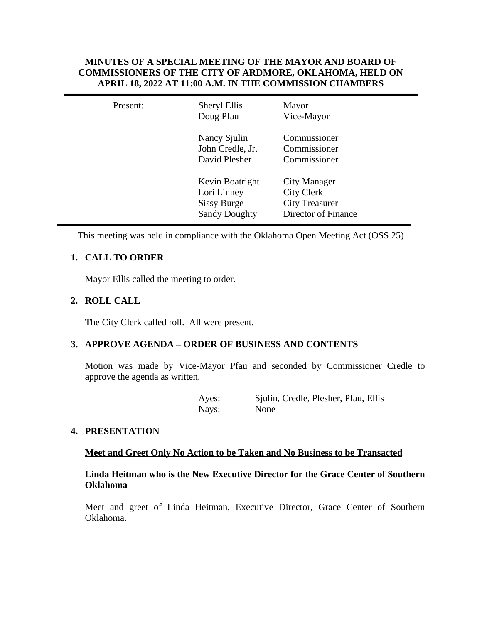# **MINUTES OF A SPECIAL MEETING OF THE MAYOR AND BOARD OF COMMISSIONERS OF THE CITY OF ARDMORE, OKLAHOMA, HELD ON APRIL 18, 2022 AT 11:00 A.M. IN THE COMMISSION CHAMBERS**

| Present: | Sheryl Ellis<br>Doug Pfau                                                    | Mayor<br>Vice-Mayor                                                               |
|----------|------------------------------------------------------------------------------|-----------------------------------------------------------------------------------|
|          | Nancy Sjulin<br>John Credle, Jr.<br>David Plesher                            | Commissioner<br>Commissioner<br>Commissioner                                      |
|          | Kevin Boatright<br>Lori Linney<br><b>Sissy Burge</b><br><b>Sandy Doughty</b> | City Manager<br><b>City Clerk</b><br><b>City Treasurer</b><br>Director of Finance |

This meeting was held in compliance with the Oklahoma Open Meeting Act (OSS 25)

# **1. CALL TO ORDER**

Mayor Ellis called the meeting to order.

# **2. ROLL CALL**

The City Clerk called roll. All were present.

## **3. APPROVE AGENDA – ORDER OF BUSINESS AND CONTENTS**

Motion was made by Vice-Mayor Pfau and seconded by Commissioner Credle to approve the agenda as written.

| Ayes: | Sjulin, Credle, Plesher, Pfau, Ellis |
|-------|--------------------------------------|
| Nays: | None                                 |

## **4. PRESENTATION**

### **Meet and Greet Only No Action to be Taken and No Business to be Transacted**

# **Linda Heitman who is the New Executive Director for the Grace Center of Southern Oklahoma**

Meet and greet of Linda Heitman, Executive Director, Grace Center of Southern Oklahoma.